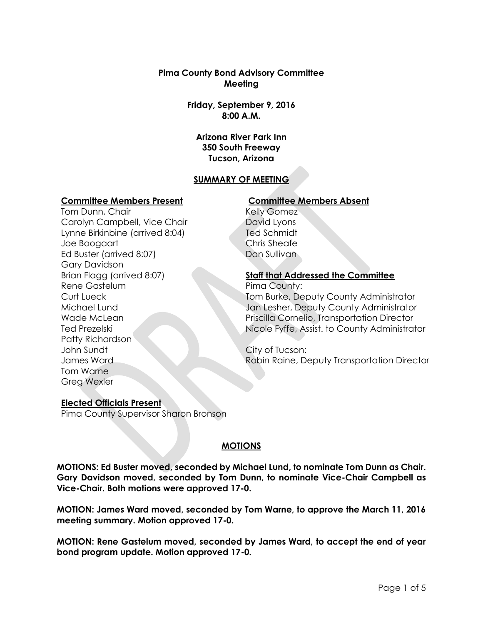#### **Pima County Bond Advisory Committee Meeting**

**Friday, September 9, 2016 8:00 A.M.**

**Arizona River Park Inn 350 South Freeway Tucson, Arizona**

# **SUMMARY OF MEETING**

#### **Committee Members Present Committee Members Absent**

Tom Dunn, Chair Carolyn Campbell, Vice Chair Lynne Birkinbine (arrived 8:04) Joe Boogaart Ed Buster (arrived 8:07) Gary Davidson Brian Flagg (arrived 8:07) Rene Gastelum Curt Lueck Michael Lund Wade McLean Ted Prezelski Patty Richardson John Sundt James Ward Tom Warne Greg Wexler

Kelly Gomez David Lyons Ted Schmidt Chris Sheafe Dan Sullivan

# **Staff that Addressed the Committee**

Pima County: Tom Burke, Deputy County Administrator Jan Lesher, Deputy County Administrator Priscilla Cornelio, Transportation Director Nicole Fyffe, Assist. to County Administrator

City of Tucson: Robin Raine, Deputy Transportation Director

#### **Elected Officials Present**

Pima County Supervisor Sharon Bronson

#### **MOTIONS**

**MOTIONS: Ed Buster moved, seconded by Michael Lund, to nominate Tom Dunn as Chair. Gary Davidson moved, seconded by Tom Dunn, to nominate Vice-Chair Campbell as Vice-Chair. Both motions were approved 17-0.**

**MOTION: James Ward moved, seconded by Tom Warne, to approve the March 11, 2016 meeting summary. Motion approved 17-0.**

**MOTION: Rene Gastelum moved, seconded by James Ward, to accept the end of year bond program update. Motion approved 17-0.**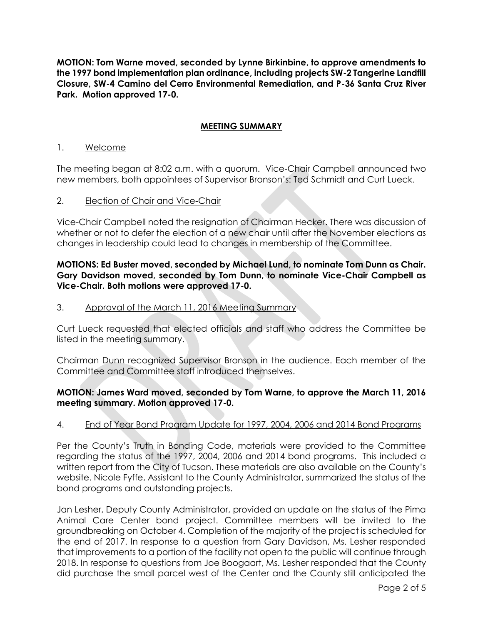**MOTION: Tom Warne moved, seconded by Lynne Birkinbine, to approve amendments to the 1997 bond implementation plan ordinance, including projects SW-2 Tangerine Landfill Closure, SW-4 Camino del Cerro Environmental Remediation, and P-36 Santa Cruz River Park. Motion approved 17-0.** 

# **MEETING SUMMARY**

#### 1. Welcome

The meeting began at 8:02 a.m. with a quorum. Vice-Chair Campbell announced two new members, both appointees of Supervisor Bronson's: Ted Schmidt and Curt Lueck.

#### 2. Election of Chair and Vice-Chair

Vice-Chair Campbell noted the resignation of Chairman Hecker. There was discussion of whether or not to defer the election of a new chair until after the November elections as changes in leadership could lead to changes in membership of the Committee.

### **MOTIONS: Ed Buster moved, seconded by Michael Lund, to nominate Tom Dunn as Chair. Gary Davidson moved, seconded by Tom Dunn, to nominate Vice-Chair Campbell as Vice-Chair. Both motions were approved 17-0.**

3. Approval of the March 11, 2016 Meeting Summary

Curt Lueck requested that elected officials and staff who address the Committee be listed in the meeting summary.

Chairman Dunn recognized Supervisor Bronson in the audience. Each member of the Committee and Committee staff introduced themselves.

# **MOTION: James Ward moved, seconded by Tom Warne, to approve the March 11, 2016 meeting summary. Motion approved 17-0.**

#### 4. End of Year Bond Program Update for 1997, 2004, 2006 and 2014 Bond Programs

Per the County's Truth in Bonding Code, materials were provided to the Committee regarding the status of the 1997, 2004, 2006 and 2014 bond programs. This included a written report from the City of Tucson. These materials are also available on the County's website. Nicole Fyffe, Assistant to the County Administrator, summarized the status of the bond programs and outstanding projects.

Jan Lesher, Deputy County Administrator, provided an update on the status of the Pima Animal Care Center bond project. Committee members will be invited to the groundbreaking on October 4. Completion of the majority of the project is scheduled for the end of 2017. In response to a question from Gary Davidson, Ms. Lesher responded that improvements to a portion of the facility not open to the public will continue through 2018. In response to questions from Joe Boogaart, Ms. Lesher responded that the County did purchase the small parcel west of the Center and the County still anticipated the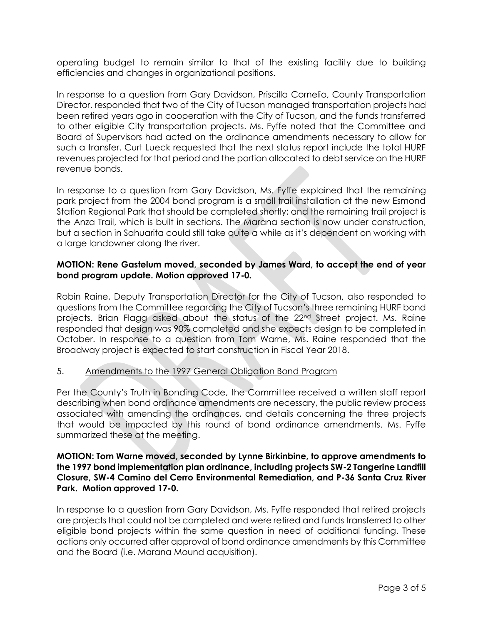operating budget to remain similar to that of the existing facility due to building efficiencies and changes in organizational positions.

In response to a question from Gary Davidson, Priscilla Cornelio, County Transportation Director, responded that two of the City of Tucson managed transportation projects had been retired years ago in cooperation with the City of Tucson, and the funds transferred to other eligible City transportation projects. Ms. Fyffe noted that the Committee and Board of Supervisors had acted on the ordinance amendments necessary to allow for such a transfer. Curt Lueck requested that the next status report include the total HURF revenues projected for that period and the portion allocated to debt service on the HURF revenue bonds.

In response to a question from Gary Davidson, Ms. Fyffe explained that the remaining park project from the 2004 bond program is a small trail installation at the new Esmond Station Regional Park that should be completed shortly; and the remaining trail project is the Anza Trail, which is built in sections. The Marana section is now under construction, but a section in Sahuarita could still take quite a while as it's dependent on working with a large landowner along the river.

# **MOTION: Rene Gastelum moved, seconded by James Ward, to accept the end of year bond program update. Motion approved 17-0.**

Robin Raine, Deputy Transportation Director for the City of Tucson, also responded to questions from the Committee regarding the City of Tucson's three remaining HURF bond projects. Brian Flagg asked about the status of the 22nd Street project. Ms. Raine responded that design was 90% completed and she expects design to be completed in October. In response to a question from Tom Warne, Ms. Raine responded that the Broadway project is expected to start construction in Fiscal Year 2018.

# 5. Amendments to the 1997 General Obligation Bond Program

Per the County's Truth in Bonding Code, the Committee received a written staff report describing when bond ordinance amendments are necessary, the public review process associated with amending the ordinances, and details concerning the three projects that would be impacted by this round of bond ordinance amendments. Ms. Fyffe summarized these at the meeting.

### **MOTION: Tom Warne moved, seconded by Lynne Birkinbine, to approve amendments to the 1997 bond implementation plan ordinance, including projects SW-2 Tangerine Landfill Closure, SW-4 Camino del Cerro Environmental Remediation, and P-36 Santa Cruz River Park. Motion approved 17-0.**

In response to a question from Gary Davidson, Ms. Fyffe responded that retired projects are projects that could not be completed and were retired and funds transferred to other eligible bond projects within the same question in need of additional funding. These actions only occurred after approval of bond ordinance amendments by this Committee and the Board (i.e. Marana Mound acquisition).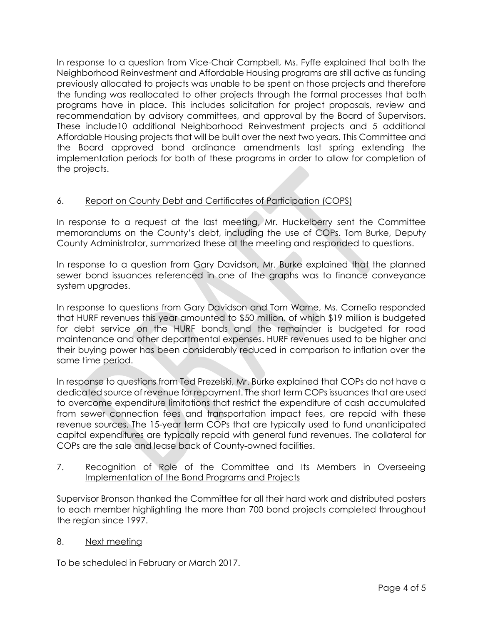In response to a question from Vice-Chair Campbell, Ms. Fyffe explained that both the Neighborhood Reinvestment and Affordable Housing programs are still active as funding previously allocated to projects was unable to be spent on those projects and therefore the funding was reallocated to other projects through the formal processes that both programs have in place. This includes solicitation for project proposals, review and recommendation by advisory committees, and approval by the Board of Supervisors. These include10 additional Neighborhood Reinvestment projects and 5 additional Affordable Housing projects that will be built over the next two years. This Committee and the Board approved bond ordinance amendments last spring extending the implementation periods for both of these programs in order to allow for completion of the projects.

# 6. Report on County Debt and Certificates of Participation (COPS)

In response to a request at the last meeting, Mr. Huckelberry sent the Committee memorandums on the County's debt, including the use of COPs. Tom Burke, Deputy County Administrator, summarized these at the meeting and responded to questions.

In response to a question from Gary Davidson, Mr. Burke explained that the planned sewer bond issuances referenced in one of the graphs was to finance conveyance system upgrades.

In response to questions from Gary Davidson and Tom Warne, Ms. Cornelio responded that HURF revenues this year amounted to \$50 million, of which \$19 million is budgeted for debt service on the HURF bonds and the remainder is budgeted for road maintenance and other departmental expenses. HURF revenues used to be higher and their buying power has been considerably reduced in comparison to inflation over the same time period.

In response to questions from Ted Prezelski, Mr. Burke explained that COPs do not have a dedicated source of revenue for repayment. The short term COPs issuances that are used to overcome expenditure limitations that restrict the expenditure of cash accumulated from sewer connection fees and transportation impact fees, are repaid with these revenue sources. The 15-year term COPs that are typically used to fund unanticipated capital expenditures are typically repaid with general fund revenues. The collateral for COPs are the sale and lease back of County-owned facilities.

# 7. Recognition of Role of the Committee and Its Members in Overseeing Implementation of the Bond Programs and Projects

Supervisor Bronson thanked the Committee for all their hard work and distributed posters to each member highlighting the more than 700 bond projects completed throughout the region since 1997.

# 8. Next meeting

To be scheduled in February or March 2017.